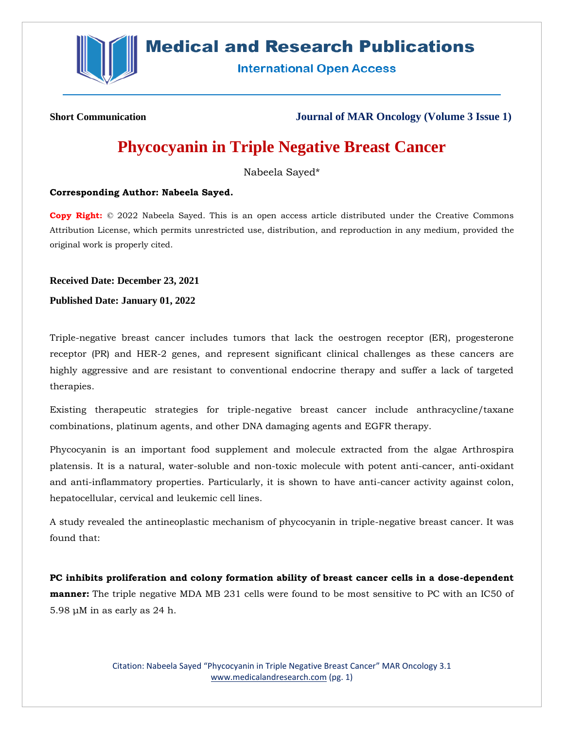

# **Medical and Research Publications**

**International Open Access** 

**Short Communication Journal of MAR Oncology (Volume 3 Issue 1)**

# **Phycocyanin in Triple Negative Breast Cancer**

Nabeela Sayed\*

# **Corresponding Author: Nabeela Sayed.**

**Copy Right:** © 2022 Nabeela Sayed. This is an open access article distributed under the Creative Commons Attribution License, which permits unrestricted use, distribution, and reproduction in any medium, provided the original work is properly cited.

**Received Date: December 23, 2021**

**Published Date: January 01, 2022**

Triple-negative breast cancer includes tumors that lack the oestrogen receptor (ER), progesterone receptor (PR) and HER-2 genes, and represent significant clinical challenges as these cancers are highly aggressive and are resistant to conventional endocrine therapy and suffer a lack of targeted therapies.

Existing therapeutic strategies for triple-negative breast cancer include anthracycline/taxane combinations, platinum agents, and other DNA damaging agents and EGFR therapy.

Phycocyanin is an important food supplement and molecule extracted from the algae Arthrospira platensis. It is a natural, water-soluble and non-toxic molecule with potent anti-cancer, anti-oxidant and anti-inflammatory properties. Particularly, it is shown to have anti-cancer activity against colon, hepatocellular, cervical and leukemic cell lines.

A study revealed the antineoplastic mechanism of phycocyanin in triple-negative breast cancer. It was found that:

**PC inhibits proliferation and colony formation ability of breast cancer cells in a dose-dependent manner:** The triple negative MDA MB 231 cells were found to be most sensitive to PC with an IC50 of 5.98 μM in as early as 24 h.

> Citation: Nabeela Sayed "Phycocyanin in Triple Negative Breast Cancer" MAR Oncology 3.1 [www.medicalandresearch.com](http://www.medicalandresearch.com/) (pg. 1)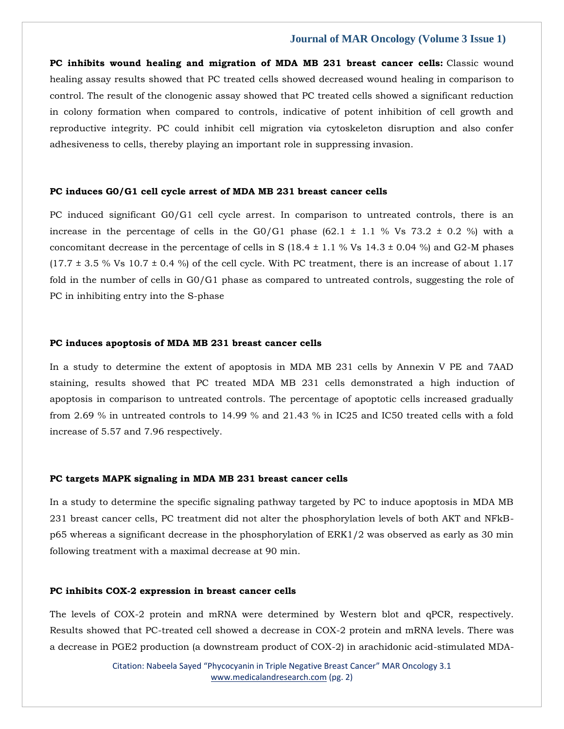# **Journal of MAR Oncology (Volume 3 Issue 1)**

**PC inhibits wound healing and migration of MDA MB 231 breast cancer cells:** Classic wound healing assay results showed that PC treated cells showed decreased wound healing in comparison to control. The result of the clonogenic assay showed that PC treated cells showed a significant reduction in colony formation when compared to controls, indicative of potent inhibition of cell growth and reproductive integrity. PC could inhibit cell migration via cytoskeleton disruption and also confer adhesiveness to cells, thereby playing an important role in suppressing invasion.

#### **PC induces G0/G1 cell cycle arrest of MDA MB 231 breast cancer cells**

PC induced significant G0/G1 cell cycle arrest. In comparison to untreated controls, there is an increase in the percentage of cells in the G0/G1 phase  $(62.1 \pm 1.1 \%$  Vs  $(73.2 \pm 0.2 \%)$  with a concomitant decrease in the percentage of cells in S (18.4  $\pm$  1.1 % Vs 14.3  $\pm$  0.04 %) and G2-M phases  $(17.7 \pm 3.5 \% \text{Vs } 10.7 \pm 0.4 \%)$  of the cell cycle. With PC treatment, there is an increase of about 1.17 fold in the number of cells in G0/G1 phase as compared to untreated controls, suggesting the role of PC in inhibiting entry into the S-phase

# **PC induces apoptosis of MDA MB 231 breast cancer cells**

In a study to determine the extent of apoptosis in MDA MB 231 cells by Annexin V PE and 7AAD staining, results showed that PC treated MDA MB 231 cells demonstrated a high induction of apoptosis in comparison to untreated controls. The percentage of apoptotic cells increased gradually from 2.69 % in untreated controls to 14.99 % and 21.43 % in IC25 and IC50 treated cells with a fold increase of 5.57 and 7.96 respectively.

#### **PC targets MAPK signaling in MDA MB 231 breast cancer cells**

In a study to determine the specific signaling pathway targeted by PC to induce apoptosis in MDA MB 231 breast cancer cells, PC treatment did not alter the phosphorylation levels of both AKT and NFkBp65 whereas a significant decrease in the phosphorylation of ERK1/2 was observed as early as 30 min following treatment with a maximal decrease at 90 min.

### **PC inhibits COX-2 expression in breast cancer cells**

The levels of COX-2 protein and mRNA were determined by Western blot and qPCR, respectively. Results showed that PC-treated cell showed a decrease in COX-2 protein and mRNA levels. There was a decrease in PGE2 production (a downstream product of COX-2) in arachidonic acid-stimulated MDA-

> Citation: Nabeela Sayed "Phycocyanin in Triple Negative Breast Cancer" MAR Oncology 3.1 [www.medicalandresearch.com](http://www.medicalandresearch.com/) (pg. 2)